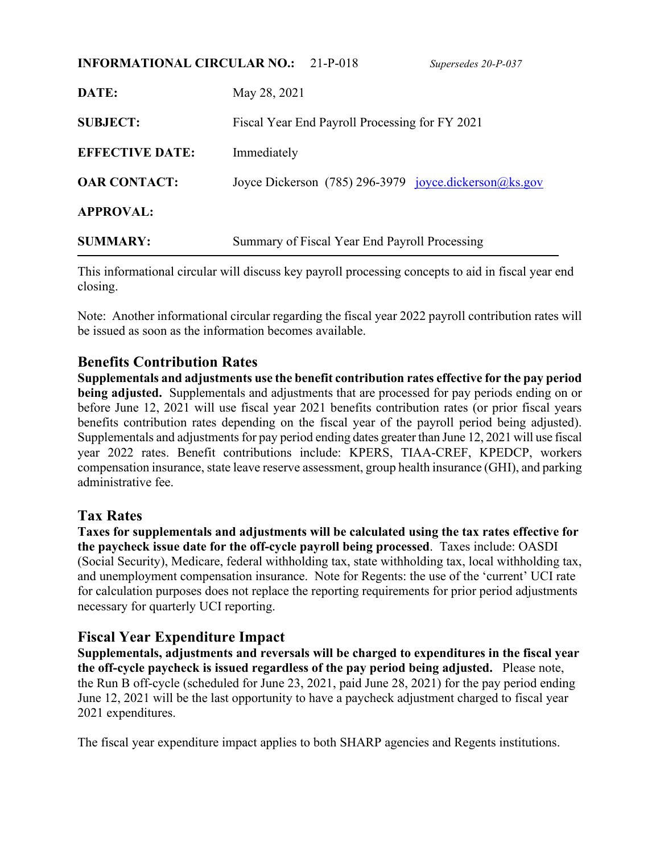| <b>INFORMATIONAL CIRCULAR NO.:</b><br>$21-P-018$ |                                                |  | Supersedes 20-P-037                                   |
|--------------------------------------------------|------------------------------------------------|--|-------------------------------------------------------|
| DATE:                                            | May 28, 2021                                   |  |                                                       |
| <b>SUBJECT:</b>                                  | Fiscal Year End Payroll Processing for FY 2021 |  |                                                       |
| <b>EFFECTIVE DATE:</b>                           | Immediately                                    |  |                                                       |
| <b>OAR CONTACT:</b>                              |                                                |  | Joyce Dickerson (785) 296-3979 joyce.dickerson@ks.gov |
| <b>APPROVAL:</b>                                 |                                                |  |                                                       |
| <b>SUMMARY:</b>                                  | Summary of Fiscal Year End Payroll Processing  |  |                                                       |

This informational circular will discuss key payroll processing concepts to aid in fiscal year end closing.

Note: Another informational circular regarding the fiscal year 2022 payroll contribution rates will be issued as soon as the information becomes available.

### **Benefits Contribution Rates**

**Supplementals and adjustments use the benefit contribution rates effective for the pay period being adjusted.** Supplementals and adjustments that are processed for pay periods ending on or before June 12, 2021 will use fiscal year 2021 benefits contribution rates (or prior fiscal years benefits contribution rates depending on the fiscal year of the payroll period being adjusted). Supplementals and adjustments for pay period ending dates greater than June 12, 2021 will use fiscal year 2022 rates. Benefit contributions include: KPERS, TIAA-CREF, KPEDCP, workers compensation insurance, state leave reserve assessment, group health insurance (GHI), and parking administrative fee.

### **Tax Rates**

**Taxes for supplementals and adjustments will be calculated using the tax rates effective for the paycheck issue date for the off-cycle payroll being processed**. Taxes include: OASDI (Social Security), Medicare, federal withholding tax, state withholding tax, local withholding tax, and unemployment compensation insurance. Note for Regents: the use of the 'current' UCI rate for calculation purposes does not replace the reporting requirements for prior period adjustments necessary for quarterly UCI reporting.

### **Fiscal Year Expenditure Impact**

**Supplementals, adjustments and reversals will be charged to expenditures in the fiscal year the off-cycle paycheck is issued regardless of the pay period being adjusted.** Please note, the Run B off-cycle (scheduled for June 23, 2021, paid June 28, 2021) for the pay period ending June 12, 2021 will be the last opportunity to have a paycheck adjustment charged to fiscal year 2021 expenditures.

The fiscal year expenditure impact applies to both SHARP agencies and Regents institutions.